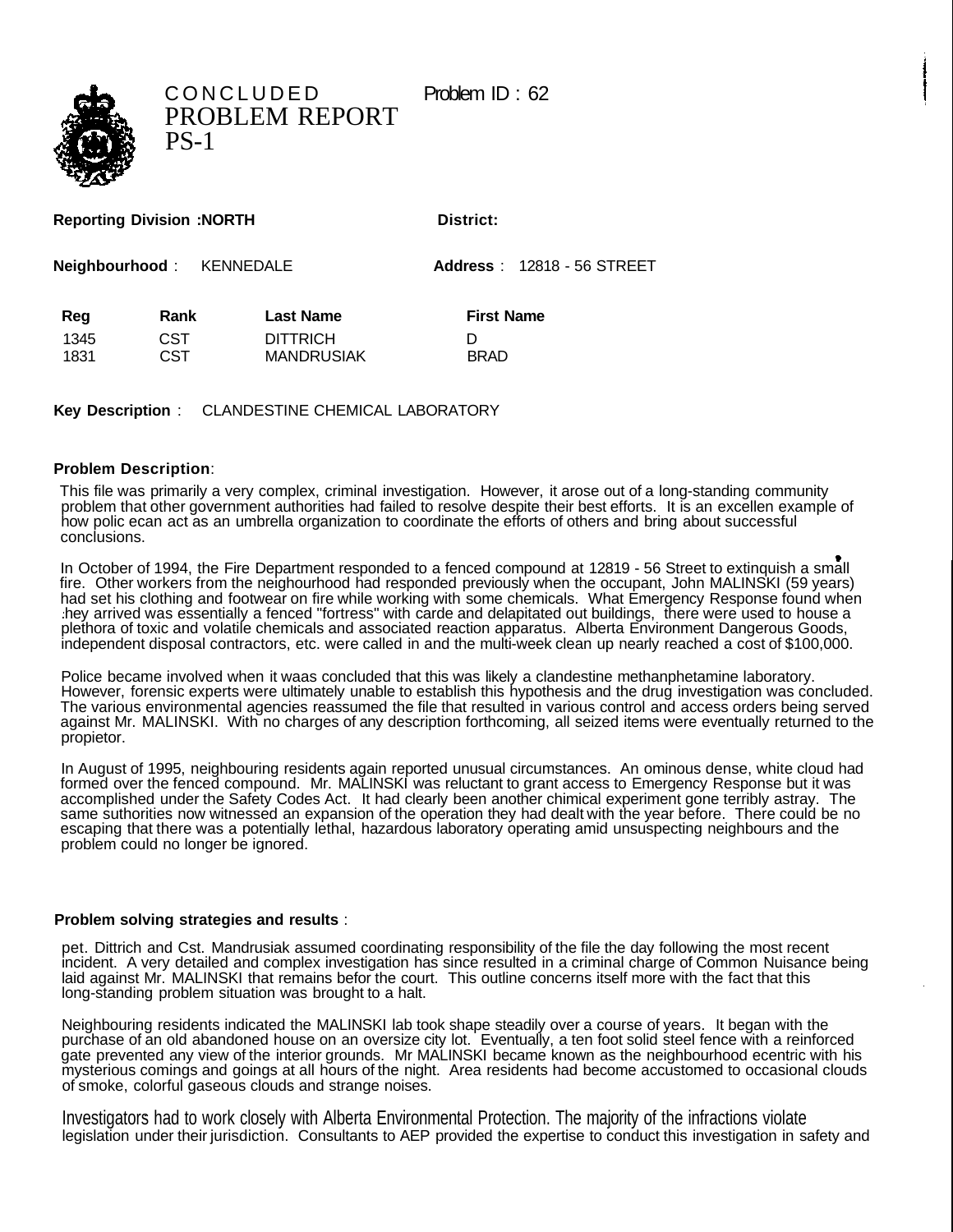

CONCLUDE D Problem ID : 62 PROBLEM REPORT PS-1

## **Reporting Division :NORTH District:**

**Neighbourhood** : KENNEDALE **Address** : 12818 - 56 STREET

| Neighbourhood: KENNEDALE | Address: |
|--------------------------|----------|
|                          |          |

| Reg  | Rank | <b>Last Name</b>  | <b>First Name</b> |
|------|------|-------------------|-------------------|
| 1345 | CST  | <b>DITTRICH</b>   |                   |
| 1831 | CST  | <b>MANDRUSIAK</b> | <b>BRAD</b>       |

**Key Description** : CLANDESTINE CHEMICAL LABORATORY

## **Problem Description**:

This file was primarily a very complex, criminal investigation. However, it arose out of a long-standing community problem that other government authorities had failed to resolve despite their best efforts. It is an excellen example of how polic ecan act as an umbrella organization to coordinate the efforts of others and bring about successful conclusions.

In October of 1994, the Fire Department responded to a fenced compound at 12819 - 56 Street to extinquish a small fire. Other workers from the neighourhood had responded previously when the occupant, John MALINSKI (59 years) had set his clothing and footwear on fire while working with some chemicals. What Emergency Response found when .hey arrived was essentially a fenced "fortress" with carde and delapitated out buildings, there were used to house a plethora of toxic and volatile chemicals and associated reaction apparatus. Alberta Environment Dangerous Goods, independent disposal contractors, etc. were called in and the multi-week clean up nearly reached a cost of \$100,000.

Police became involved when it waas concluded that this was likely a clandestine methanphetamine laboratory. However, forensic experts were ultimately unable to establish this hypothesis and the drug investigation was concluded. The various environmental agencies reassumed the file that resulted in various control and access orders being served against Mr. MALINSKI. With no charges of any description forthcoming, all seized items were eventually returned to the propietor.

In August of 1995, neighbouring residents again reported unusual circumstances. An ominous dense, white cloud had formed over the fenced compound. Mr. MALINSKI was reluctant to grant access to Emergency Response but it was accomplished under the Safety Codes Act. It had clearly been another chimical experiment gone terribly astray. The same suthorities now witnessed an expansion of the operation they had dealt with the year before. There could be no escaping that there was a potentially lethal, hazardous laboratory operating amid unsuspecting neighbours and the problem could no longer be ignored.

## **Problem solving strategies and results** :

pet. Dittrich and Cst. Mandrusiak assumed coordinating responsibility of the file the day following the most recent incident. A very detailed and complex investigation has since resulted in a criminal charge of Common Nuisance being laid against Mr. MALINSKI that remains befor the court. This outline concerns itself more with the fact that this long-standing problem situation was brought to a halt.

Neighbouring residents indicated the MALINSKI lab took shape steadily over a course of years. It began with the purchase of an old abandoned house on an oversize city lot. Eventually, a ten foot solid steel fence with a reinforced gate prevented any view of the interior grounds. Mr MALINSKI became known as the neighbourhood ecentric with his mysterious comings and goings at all hours of the night. Area residents had become accustomed to occasional clouds of smoke, colorful gaseous clouds and strange noises.

Investigators had to work closely with Alberta Environmental Protection. The majority of the infractions violate legislation under their jurisdiction. Consultants to AEP provided the expertise to conduct this investigation in safety and